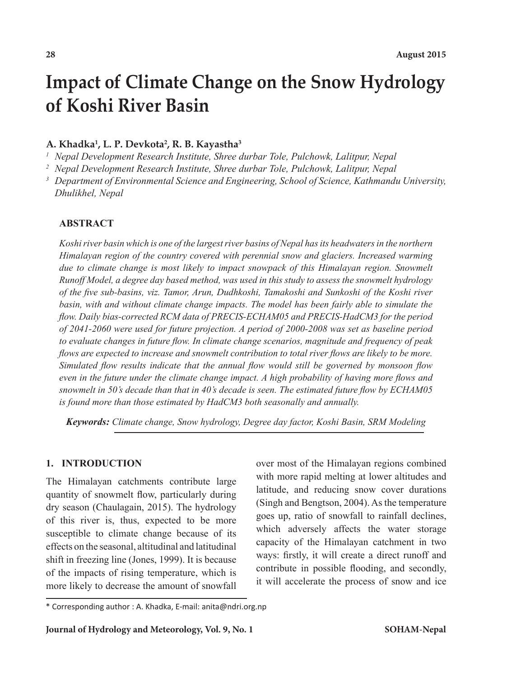# **Impact of Climate Change on the Snow Hydrology of Koshi River Basin**

### **A. Khadka1 , L. P. Devkota2 , R. B. Kayastha3**

*<sup>1</sup> Nepal Development Research Institute, Shree durbar Tole, Pulchowk, Lalitpur, Nepal*

*<sup>2</sup> Nepal Development Research Institute, Shree durbar Tole, Pulchowk, Lalitpur, Nepal*

*<sup>3</sup> Department of Environmental Science and Engineering, School of Science, Kathmandu University, Dhulikhel, Nepal*

### **ABSTRACT**

*Koshi river basin which is one of the largest river basins of Nepal has its headwaters in the northern Himalayan region of the country covered with perennial snow and glaciers. Increased warming due to climate change is most likely to impact snowpack of this Himalayan region. Snowmelt Runoff Model, a degree day based method, was used in this study to assess the snowmelt hydrology of the five sub-basins, viz. Tamor, Arun, Dudhkoshi, Tamakoshi and Sunkoshi of the Koshi river*  basin, with and without climate change impacts. The model has been fairly able to simulate the *flow. Daily bias-corrected RCM data of PRECIS-ECHAM05 and PRECIS-HadCM3 for the period of 2041-2060 were used for future projection. A period of 2000-2008 was set as baseline period to evaluate changes in future flow. In climate change scenarios, magnitude and frequency of peak flows are expected to increase and snowmelt contribution to total river flows are likely to be more. Simulated flow results indicate that the annual flow would still be governed by monsoon flow even in the future under the climate change impact. A high probability of having more flows and snowmelt in 50's decade than that in 40's decade is seen. The estimated future flow by ECHAM05 is found more than those estimated by HadCM3 both seasonally and annually.* 

*Keywords: Climate change, Snow hydrology, Degree day factor, Koshi Basin, SRM Modeling*

### **1. INTRODUCTION**

The Himalayan catchments contribute large quantity of snowmelt flow, particularly during dry season (Chaulagain, 2015). The hydrology of this river is, thus, expected to be more susceptible to climate change because of its effects on the seasonal, altitudinal and latitudinal shift in freezing line (Jones, 1999). It is because of the impacts of rising temperature, which is more likely to decrease the amount of snowfall

over most of the Himalayan regions combined with more rapid melting at lower altitudes and latitude, and reducing snow cover durations (Singh and Bengtson, 2004). As the temperature goes up, ratio of snowfall to rainfall declines, which adversely affects the water storage capacity of the Himalayan catchment in two ways: firstly, it will create a direct runoff and contribute in possible flooding, and secondly, it will accelerate the process of snow and ice

<sup>\*</sup> Corresponding author : A. Khadka, E-mail: anita@ndri.org.np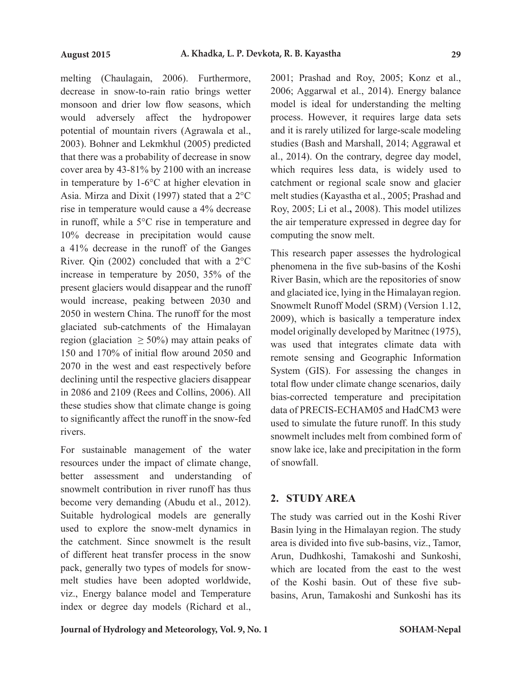melting (Chaulagain, 2006). Furthermore, decrease in snow-to-rain ratio brings wetter monsoon and drier low flow seasons, which would adversely affect the hydropower potential of mountain rivers (Agrawala et al., 2003). Bohner and Lekmkhul (2005) predicted that there was a probability of decrease in snow cover area by 43-81% by 2100 with an increase in temperature by 1-6°C at higher elevation in Asia. Mirza and Dixit (1997) stated that a 2°C rise in temperature would cause a 4% decrease in runoff, while a 5°C rise in temperature and 10% decrease in precipitation would cause a 41% decrease in the runoff of the Ganges River. Qin (2002) concluded that with a 2°C increase in temperature by 2050, 35% of the present glaciers would disappear and the runoff would increase, peaking between 2030 and 2050 in western China. The runoff for the most glaciated sub-catchments of the Himalayan region (glaciation  $\geq 50\%$ ) may attain peaks of 150 and 170% of initial flow around 2050 and 2070 in the west and east respectively before declining until the respective glaciers disappear in 2086 and 2109 (Rees and Collins, 2006). All these studies show that climate change is going to significantly affect the runoff in the snow-fed rivers.

For sustainable management of the water resources under the impact of climate change, better assessment and understanding of snowmelt contribution in river runoff has thus become very demanding (Abudu et al., 2012). Suitable hydrological models are generally used to explore the snow-melt dynamics in the catchment. Since snowmelt is the result of different heat transfer process in the snow pack, generally two types of models for snowmelt studies have been adopted worldwide, viz., Energy balance model and Temperature index or degree day models (Richard et al.,

2001; Prashad and Roy, 2005; Konz et al., 2006; Aggarwal et al., 2014). Energy balance model is ideal for understanding the melting process. However, it requires large data sets and it is rarely utilized for large-scale modeling studies (Bash and Marshall, 2014; Aggrawal et al., 2014). On the contrary, degree day model, which requires less data, is widely used to catchment or regional scale snow and glacier melt studies (Kayastha et al., 2005; Prashad and Roy, 2005; Li et al.**,** 2008). This model utilizes the air temperature expressed in degree day for computing the snow melt.

This research paper assesses the hydrological phenomena in the five sub-basins of the Koshi River Basin, which are the repositories of snow and glaciated ice, lying in the Himalayan region. Snowmelt Runoff Model (SRM) (Version 1.12, 2009), which is basically a temperature index model originally developed by Maritnec (1975), was used that integrates climate data with remote sensing and Geographic Information System (GIS). For assessing the changes in total flow under climate change scenarios, daily bias-corrected temperature and precipitation data of PRECIS-ECHAM05 and HadCM3 were used to simulate the future runoff. In this study snowmelt includes melt from combined form of snow lake ice, lake and precipitation in the form of snowfall.

# **2. STUDY AREA**

The study was carried out in the Koshi River Basin lying in the Himalayan region. The study area is divided into five sub-basins, viz., Tamor, Arun, Dudhkoshi, Tamakoshi and Sunkoshi, which are located from the east to the west of the Koshi basin. Out of these five subbasins, Arun, Tamakoshi and Sunkoshi has its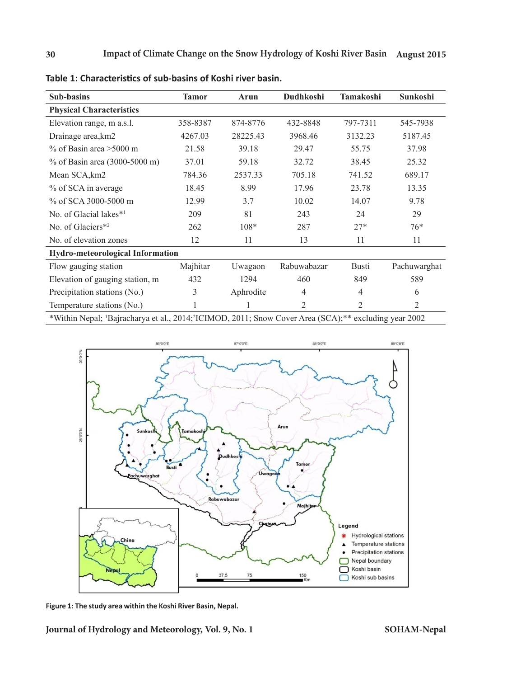| Sub-basins                                                                                                                    | <b>Tamor</b> | Arun      | Dudhkoshi      | Tamakoshi      | Sunkoshi       |  |  |  |  |
|-------------------------------------------------------------------------------------------------------------------------------|--------------|-----------|----------------|----------------|----------------|--|--|--|--|
| <b>Physical Characteristics</b>                                                                                               |              |           |                |                |                |  |  |  |  |
| Elevation range, m a.s.l.                                                                                                     | 358-8387     | 874-8776  | 432-8848       | 797-7311       | 545-7938       |  |  |  |  |
| Drainage area, km2                                                                                                            | 4267.03      | 28225.43  | 3968.46        | 3132.23        | 5187.45        |  |  |  |  |
| $\%$ of Basin area >5000 m                                                                                                    | 21.58        | 39.18     | 29.47          | 55.75          | 37.98          |  |  |  |  |
| % of Basin area (3000-5000 m)                                                                                                 | 37.01        | 59.18     | 32.72          | 38.45          | 25.32          |  |  |  |  |
| Mean SCA, km2                                                                                                                 | 784.36       | 2537.33   | 705.18         | 741.52         | 689.17         |  |  |  |  |
| % of SCA in average                                                                                                           | 18.45        | 8.99      | 17.96          | 23.78          | 13.35          |  |  |  |  |
| % of SCA 3000-5000 m                                                                                                          | 12.99        | 3.7       | 10.02          | 14.07          | 9.78           |  |  |  |  |
| No. of Glacial lakes*1                                                                                                        | 209          | 81        | 243            | 24             | 29             |  |  |  |  |
| No. of Glaciers*2                                                                                                             | 262          | $108*$    | 287            | $27*$          | $76*$          |  |  |  |  |
| No. of elevation zones                                                                                                        | 12           | 11        | 13             | 11             | 11             |  |  |  |  |
| <b>Hydro-meteorological Information</b>                                                                                       |              |           |                |                |                |  |  |  |  |
| Flow gauging station                                                                                                          | Majhitar     | Uwagaon   | Rabuwabazar    | <b>Busti</b>   | Pachuwarghat   |  |  |  |  |
| Elevation of gauging station, m                                                                                               | 432          | 1294      | 460            | 849            | 589            |  |  |  |  |
| Precipitation stations (No.)                                                                                                  | 3            | Aphrodite | $\overline{4}$ | $\overline{4}$ | 6              |  |  |  |  |
| Temperature stations (No.)                                                                                                    |              |           | $\mathfrak{2}$ | $\overline{2}$ | $\overline{2}$ |  |  |  |  |
| *Within Nepal; <sup>1</sup> Bajracharya et al., 2014; <sup>2</sup> ICIMOD, 2011; Snow Cover Area (SCA);** excluding year 2002 |              |           |                |                |                |  |  |  |  |

**Table 1: Characteristics of sub-basins of Koshi river basin.**



**Figure 1: The study area within the Koshi River Basin, Nepal.**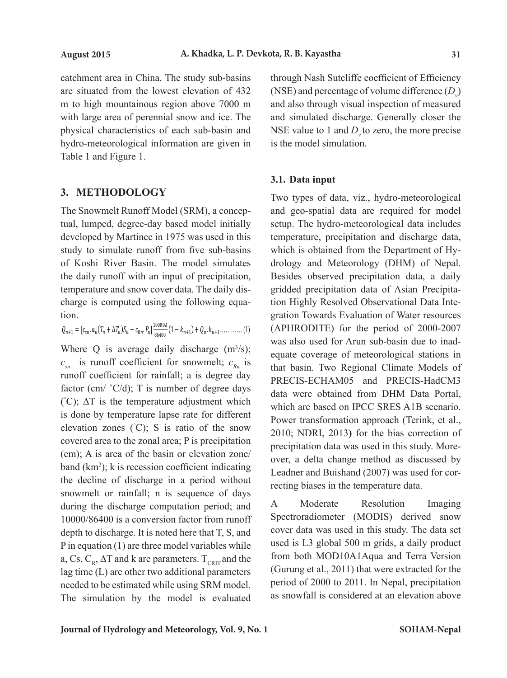catchment area in China. The study sub-basins are situated from the lowest elevation of 432 m to high mountainous region above 7000 m with large area of perennial snow and ice. The physical characteristics of each sub-basin and hydro-meteorological information are given in Table 1 and Figure 1.

### **3. METHODOLOGY**

The Snowmelt Runoff Model (SRM), a conceptual, lumped, degree-day based model initially developed by Martinec in 1975 was used in this study to simulate runoff from five sub-basins of Koshi River Basin. The model simulates the daily runoff with an input of precipitation, temperature and snow cover data. The daily discharge is computed using the following equation.

$$
Q_{n+1} = [c_{sn}. a_n(T_n + \Delta T_n)S_n + c_{kn}.P_n] \frac{10000A}{86400}(1 - k_{n+1}) + Q_n.k_{n+1} \dots \dots \dots \dots (1)
$$

 $c_{sn}$  is runoff coefficient for snowmelt;  $c_{kn}$  is runoff coefficient for rainfall; a is degree day  $({\degree}C)$ ; ∆T is the temperature adjustment which is done by temperature lapse rate for different elevation zones  $({}^{\circ}C)$ ; S is ratio of the snow covered area to the zonal area;  $P$  is precipitation band  $(km^2)$ ; k is recession coefficient indicating  $\blacksquare$ the decline of discharge in a period without during the discharge computation period; and depth to discharge. It is noted here that T, S, and P in equation (1) are three model variables while lag time (L) are other two additional parameters needed to be estimated while using SRM model. <sup>1</sup> Where Q is average daily discharge  $(m<sup>3</sup>/s)$ ; factor (cm/ $\degree$ C/d); T is number of degree days (cm); A is area of the basin or elevation zone/ snowmelt or rainfall; n is sequence of days 10000/86400 is a conversion factor from runoff a, Cs,  $C_R$ ,  $\Delta T$  and k are parameters. T<sub>CRIT</sub> and the The simulation by the model is evaluated

through Nash Sutcliffe coefficient of Efficiency (NSE) and percentage of volume difference  $(D_v)$ and also through visual inspection of measured and simulated discharge. Generally closer the NSE value to 1 and  $D_{v}$  to zero, the more precise is the model simulation.

### **3.1. Data input**

Two types of data, viz., hydro-meteorological and geo-spatial data are required for model setup. The hydro-meteorological data includes temperature, precipitation and discharge data, which is obtained from the Department of Hydrology and Meteorology (DHM) of Nepal. Besides observed precipitation data, a daily gridded precipitation data of Asian Precipitation Highly Resolved Observational Data Integration Towards Evaluation of Water resources (APHRODITE) for the period of 2000-2007 was also used for Arun sub-basin due to inadequate coverage of meteorological stations in that basin. Two Regional Climate Models of PRECIS-ECHAM05 and PRECIS-HadCM3 data were obtained from DHM Data Portal, which are based on IPCC SRES A1B scenario. Power transformation approach (Terink, et al., 2010; NDRI, 2013**)** for the bias correction of precipitation data was used in this study. Moreover, a delta change method as discussed by Leadner and Buishand (2007) was used for correcting biases in the temperature data.

A Moderate Resolution Imaging Spectroradiometer (MODIS) derived snow cover data was used in this study. The data set used is L3 global 500 m grids, a daily product from both MOD10A1Aqua and Terra Version (Gurung et al., 2011) that were extracted for the period of 2000 to 2011. In Nepal, precipitation as snowfall is considered at an elevation above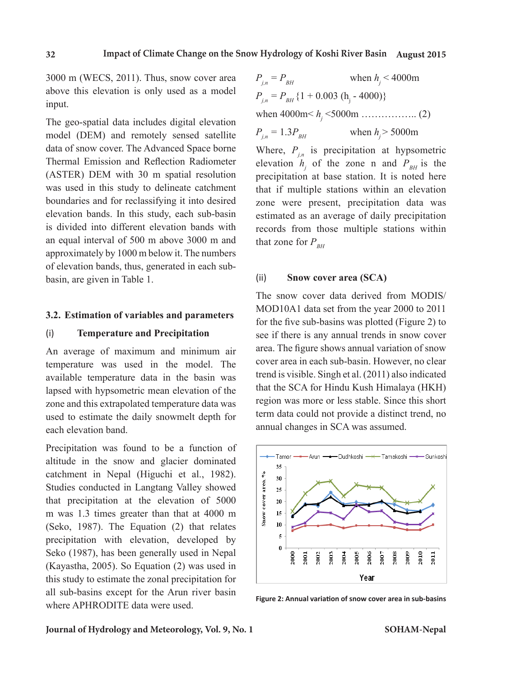3000 m (WECS, 2011). Thus, snow cover area above this elevation is only used as a model input.

The geo-spatial data includes digital elevation model (DEM) and remotely sensed satellite data of snow cover. The Advanced Space borne Thermal Emission and Reflection Radiometer (ASTER) DEM with 30 m spatial resolution was used in this study to delineate catchment boundaries and for reclassifying it into desired elevation bands. In this study, each sub-basin is divided into different elevation bands with an equal interval of 500 m above 3000 m and approximately by 1000 m below it. The numbers of elevation bands, thus, generated in each subbasin, are given in Table 1.

### **3.2. Estimation of variables and parameters**

### (i) **Temperature and Precipitation**

An average of maximum and minimum air temperature was used in the model. The available temperature data in the basin was lapsed with hypsometric mean elevation of the zone and this extrapolated temperature data was used to estimate the daily snowmelt depth for each elevation band.

Precipitation was found to be a function of altitude in the snow and glacier dominated catchment in Nepal (Higuchi et al., 1982). Studies conducted in Langtang Valley showed that precipitation at the elevation of 5000 m was 1.3 times greater than that at 4000 m (Seko, 1987). The Equation (2) that relates precipitation with elevation, developed by Seko (1987), has been generally used in Nepal (Kayastha, 2005). So Equation (2) was used in this study to estimate the zonal precipitation for all sub-basins except for the Arun river basin where APHRODITE data were used.

$$
P_{j,n} = P_{BH} \t\t\t\twhen h_j < 4000m
$$
  
\n
$$
P_{j,n} = P_{BH} \{1 + 0.003 (h_j - 4000)\}
$$
  
\nwhen 4000m < h\_j < 5000m

 $P_{i_n} = 1.3 P_{BH}$  when  $h_i > 5000$ m

Where,  $P_{i,n}$  is precipitation at hypsometric elevation  $h_j$  of the zone n and  $P_{BH}$  is the precipitation at base station. It is noted here that if multiple stations within an elevation zone were present, precipitation data was estimated as an average of daily precipitation records from those multiple stations within that zone for  $P_{<sub>RH</sub>}$ 

### (ii) **Snow cover area (SCA)**

The snow cover data derived from MODIS/ MOD10A1 data set from the year 2000 to 2011 for the five sub-basins was plotted (Figure 2) to see if there is any annual trends in snow cover area. The figure shows annual variation of snow cover area in each sub-basin. However, no clear trend is visible. Singh et al. (2011) also indicated that the SCA for Hindu Kush Himalaya (HKH) region was more or less stable. Since this short term data could not provide a distinct trend, no annual changes in SCA was assumed.



**Figure 2: Annual variation of snow cover area in sub-basins**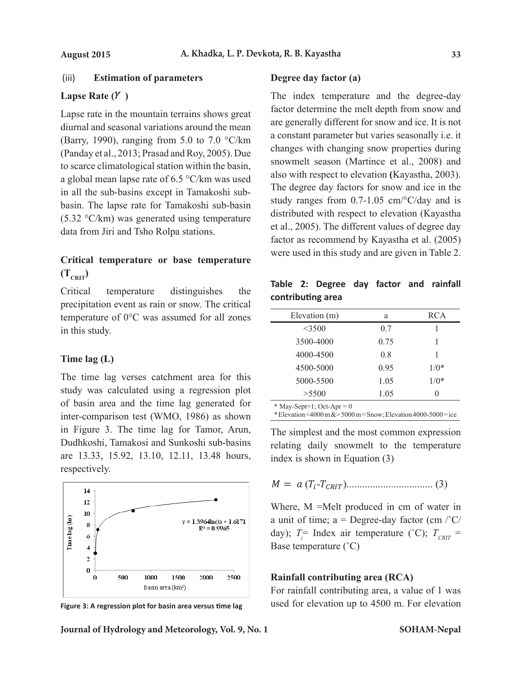### (iii) **Estimation of parameters**

# Lapse Rate  $(Y)$

Lapse rate in the mountain terrains shows great diurnal and seasonal variations around the mean (Barry, 1990), ranging from 5.0 to 7.0  $\textdegree$ C/km (Panday et al., 2013; Prasad and Roy, 2005). Due to scarce climatological station within the basin, a global mean lapse rate of 6.5 °C/km was used in all the sub-basins except in Tamakoshi subbasin. The lapse rate for Tamakoshi sub-basin (5.32 °C/km) was generated using temperature data from Jiri and Tsho Rolpa stations.

### **Critical temperature or base temperature**   $(T_{\text{CRT}})$ The temperature

precipitation event as rain or snow. The critical temperature of 0°C was assumed for all zones Elevation (m) and RCA in this study.

### **Time lag (L)**

The time lag verses catchment area for this study was calculated using a regression plot  $\frac{5000, 5500}{5500}$  (1.05 cm  $\frac{1}{100}$ ) of basin area and the time lag generated for inter-comparison test (WMO, 1986) as shown in Figure 3. The time lag for Tamor, Arun, Dudhkoshi, Tamakosi and Sunkoshi sub-basins are 13.33, 15.92, 13.10, 12.11, 13.48 hours, respectively.



**Figure 3: A regression plot for basin area versus time lag**

**Degree day factor (a)**

The index temperature and the degree-day factor determine the melt depth from snow and are generally different for snow and ice. It is not a constant parameter but varies seasonally i.e. it changes with changing snow properties during snowmelt season (Martince et al., 2008) and 2 also with respect to elevation **(**Kayastha, 2003). 0 The degree day factors for snow and ice in the study ranges from  $0.7-1.05$  cm/ $\degree$ C/day and is distributed with respect to elevation (Kayastha et al., 2005). The different values of degree day factor as recommend by Kayastha et al. (2005) were used in this study and are given in Table 2. ature 3. A region plus for the second for a region of the second plants of the second plants of the second plants of the second plants of the second plants of the second plants of the second plants of the second plants of  $\bar{e}$ 10 ar<br>a<br>cł

| . |                                    |     | Table 2: Degree day factor and rainfall |
|---|------------------------------------|-----|-----------------------------------------|
|   | Critical temperature distinguishes | the | contributing area                       |
|   |                                    |     |                                         |

| I VI SHOW. THC CHRICAI |                                        |      |            |
|------------------------|----------------------------------------|------|------------|
| assumed for all zones  | Elevation (m)                          | a    | <b>RCA</b> |
|                        | $<$ 3500                               | 0.7  |            |
|                        | 3500-4000                              | 0.75 |            |
|                        | 4000-4500                              | 0.8  |            |
|                        | 4500-5000                              | 0.95 | $1/0*$     |
| chment area for this   | 5000-5500                              | 1.05 | $1/0*$     |
| ing a regression plot  | >5500                                  | 1.05 | $\theta$   |
| me lao oenerated for   | $$ $\alpha$ $\alpha$ $\alpha$ $\alpha$ |      |            |

 $May-Sept=1$ ; Oct-Apr = 0

 $M_O$  = 1986) as shown \*Elevation <4000 m & >5000 m = Snow; Elevation 4000-5000 = ice

ag for  $I$  amor, Arun, The simplest and the most common expression relating daily snowmelt to the temperature index is shown in Equation (3)

$$
M = a (T_i - T_{CRIT}) \dots (3)
$$

 $\blacksquare$  Where, M =Melt produced in cm of water in  $d$ day);  $T_i$ <sup>=</sup> Index air temperature (°C);  $T_{CRT}$  = a unit of time;  $a =$ Degree-day factor (cm  $\frac{1}{C}C$ ) Base temperature (˚C)

# <sup>10</sup> Rainfall contributing area (RCA)

For rainfall contributing area, a value of 1 was used for elevation up to 4500 m. For elevation  $\frac{1}{1}$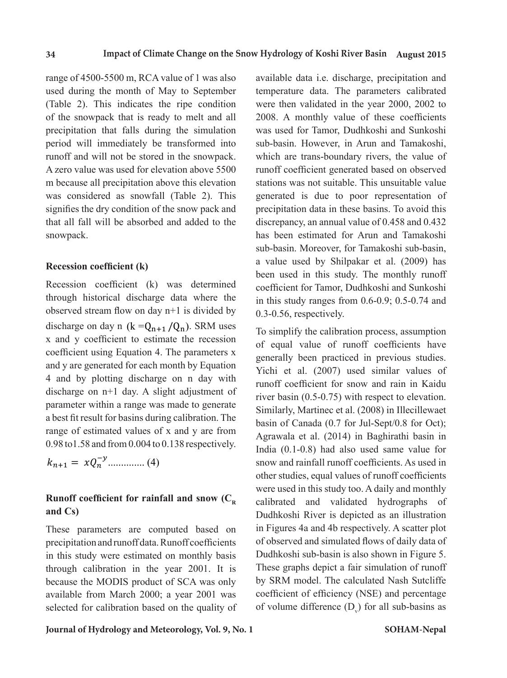range of 4500-5500 m, RCA value of 1 was also available da This contribution is the month of May to September  $(Table 2)$ . This indicates the ripe condition of the snowpack that is ready to melt and all precipitation that falls during the simulation period will immediately be transformed into sub-basin. runoff and will not be stored in the snowpack. A zero value was used for elevation above 5500 runoff coef m because all precipitation above this elevation was considered as snowfall (Table 2). This generated signifies the dry condition of the snow pack and that all fall will be absorbed and added to the discrepancy snowpack. This signifies the state of the snow pack and the snow pack and the snow pack and added and added and added and Table 2) This indicates the rine condition were then  $\frac{1}{\sqrt{1-\frac{1}{\sqrt{1-\frac{1}{\sqrt{1-\frac{1}{\sqrt{1-\frac{1}{\sqrt{1-\frac{1}{\sqrt{1-\frac{1}{\sqrt{1-\frac{1}{\sqrt{1-\frac{1}{\sqrt{1-\frac{1}{\sqrt{1-\frac{1}{\sqrt{1-\frac{1}{\sqrt{1-\frac{1}{\sqrt{1-\frac{1}{\sqrt{1-\frac{1}{\sqrt{1-\frac{1}{\sqrt{1-\frac{1}{\sqrt{1-\frac{1}{\sqrt{1-\frac{1}{$ (The snowpack that is ready to meriting and  $\frac{2000}{\pi}$  in measurements)

### **Recession coefficient (k)**

Recession coefficient (k) was determined through historical discharge data where the observed stream flow on day n+1 is divided by discharge on day n ( $k = Q_{n+1} / Q_n$ ). SRM uses coefficient using Equation 4. The parameters x  $4$  and by plotting discharge on n day with discharge on n+1 day. A slight adjustment of parameter within a range was made to generate parameter within a range was made to generate a best fit result for basins during calibration. The basin of Ca  $0.98$  to x and y coefficient to estimate the recession  $\sigma_f^2$  equal v and y are generated for each month by Equation  $\frac{1}{\sqrt{2\pi}}$  by plotting discharge on  $\frac{1}{\sqrt{2\pi}}$ discharge on  $n+1$  day. A slight adjustment of parameter  $\frac{1 \text{ (Hil) (OCl)}}{n \cdot \text{ (Hil) (OCl)}}$ range of estimated values of x and y are from 0.98 to 1.58 and from 0.004 to 0.138 respectively.  $R$  coefficient (k) was determined the coefficient  $\frac{1}{2}$  $\frac{1}{1}$  discrete stream flow on day n+1 is divided by  $\frac{0.3-0.56}{0.5-0.56}$  re

$$
k_{n+1} = xQ_n^{-y} \dots (4)
$$

### **Runoff coefficient for rainfall and snow (C<sub>R</sub>**  $\text{and } \text{Cs}$  and  $\text{Cs}$ **and Cs)**

These parameters are computed based on precipitation and runoff data. Runoff coefficients in precipitation and runoff data. Runoff coefficients through calibration in the year 2001. It is available from March 2000; a year 2001 was  $\frac{1}{\sqrt{2}}$  temperature then validated were then validated were then year 2000, 2002 to year 2000, 2000, 2002 to year 2000, 200 These parameters are computed based on in Figures.<br>The year 2001. It is because a febrewse in this study were estimated on monthly basis Dudhkoshi because the MODIS product of SCA was only by SRM m selected for calibration based on the quality of of volume

available data i.e. discharge, precipitation and temperature data. The parameters calibrated were then validated in the year 2000, 2002 to 2008. A monthly value of these coefficients was used for Tamor, Dudhkoshi and Sunkoshi sub-basin. However, in Arun and Tamakoshi, which are trans-boundary rivers, the value of runoff coefficient generated based on observed stations was not suitable. This unsuitable value generated is due to poor representation of precipitation data in these basins. To avoid this discrepancy, an annual value of 0.458 and 0.432 has been estimated for Arun and Tamakoshi sub-basin. Moreover, for Tamakoshi sub-basin, a value used by Shilpakar et al. (2009) has been used in this study. The monthly runoff coefficient for Tamor, Dudhkoshi and Sunkoshi in this study ranges from 0.6-0.9; 0.5-0.74 and 0.3-0.56, respectively.

To simplify the calibration process, assumption of equal value of runoff coefficients have generally been practiced in previous studies. Yichi et al. (2007) used similar values of runoff coefficient for snow and rain in Kaidu river basin (0.5-0.75) with respect to elevation. Similarly, Martinec et al. (2008) in Illecillewaet basin of Canada (0.7 for Jul-Sept/0.8 for Oct); Agrawala et al. (2014) in Baghirathi basin in India (0.1-0.8) had also used same value for snow and rainfall runoff coefficients. As used in other studies, equal values of runoff coefficients were used in this study too. A daily and monthly calibrated and validated hydrographs of Dudhkoshi River is depicted as an illustration in Figures 4a and 4b respectively. A scatter plot of observed and simulated flows of daily data of Dudhkoshi sub-basin is also shown in Figure 5. These graphs depict a fair simulation of runoff by SRM model. The calculated Nash Sutcliffe coefficient of efficiency (NSE) and percentage of volume difference  $(D_v)$  for all sub-basins as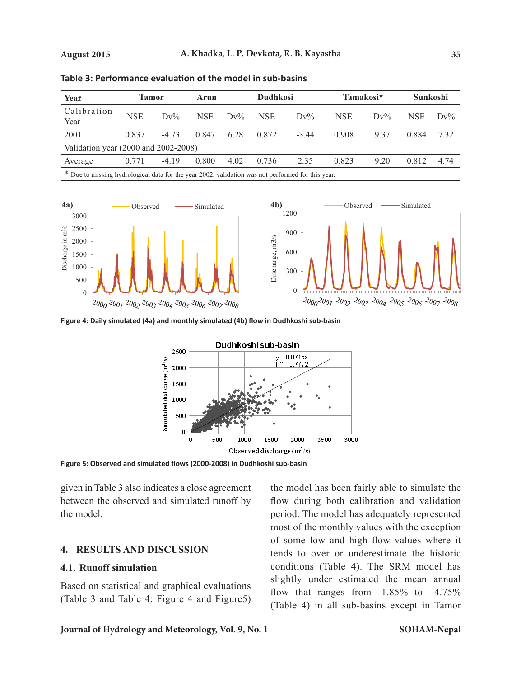| Year                                                                                              | Tamor      |         | Arun       |        | <b>Dudhkosi</b> |         | Tamakosi*  |        | <b>Sunkoshi</b> |        |  |
|---------------------------------------------------------------------------------------------------|------------|---------|------------|--------|-----------------|---------|------------|--------|-----------------|--------|--|
| Calibration<br>Year                                                                               | <b>NSE</b> | $Dv\%$  | <b>NSE</b> | $Dv\%$ | <b>NSE</b>      | $Dv\%$  | <b>NSE</b> | $Dv\%$ | <b>NSE</b>      | $Dv\%$ |  |
| 2001                                                                                              | 0.837      | $-4.73$ | 0.847      | 6.28   | 0.872           | $-3.44$ | 0.908      | 937    | 0.884           | 7.32   |  |
| Validation year $(2000 \text{ and } 2002-2008)$                                                   |            |         |            |        |                 |         |            |        |                 |        |  |
| Average                                                                                           | 0.771      | $-4.19$ | 0.800      | 4.02   | 0.736           | 2.35    | 0.823      | 9.20   | 0.812           | 4.74   |  |
| * Due to missing hydrological data for the year 2002, validation was not performed for this year. |            |         |            |        |                 |         |            |        |                 |        |  |



**Figure 4: Daily simulated (4a) and monthly simulated (4b) flow in Dudhkoshi sub-basin**

**Table 3: Performance evaluation of the model in sub-basins**



**Figure 5: Observed and simulated flows (2000-2008) in Dudhkoshi sub-basin** 200 200

given in Table 3 also indicates a close agreement between the observed and simulated runoff by the model. rable 5 also mulcates a close agreement<br>the observed and simulated runoff by  $\sum$ 

### **4. RESULTS AND DISCUSSION**

### **4.1. Runoff simulation**

Based on statistical and graphical evaluations (Table 3 and Table 4; Figure 4 and Figure5)

the model has been fairly able to simulate the flow during both calibration and validation period. The model has adequately represented most of the monthly values with the exception of some low and high flow values where it tends to over or underestimate the historic conditions (Table 4). The SRM model has slightly under estimated the mean annual flow that ranges from  $-1.85\%$  to  $-4.75\%$ (Table 4) in all sub-basins except in Tamor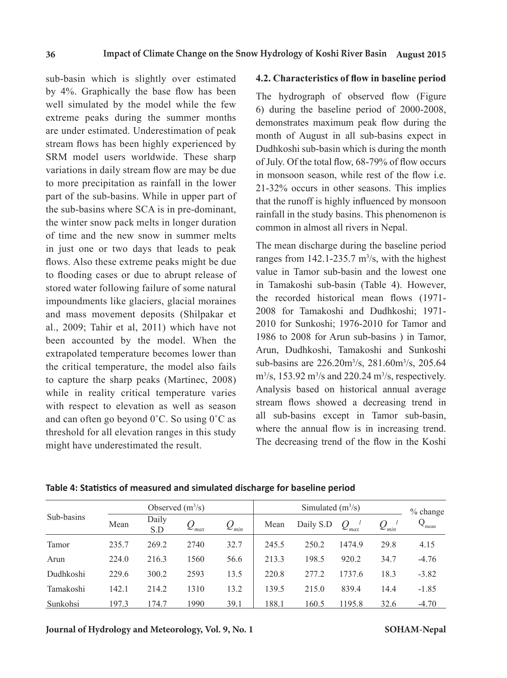sub-basin which is slightly over estimated by 4%. Graphically the base flow has been well simulated by the model while the few extreme peaks during the summer months are under estimated. Underestimation of peak stream flows has been highly experienced by SRM model users worldwide. These sharp variations in daily stream flow are may be due to more precipitation as rainfall in the lower part of the sub-basins. While in upper part of the sub-basins where SCA is in pre-dominant, the winter snow pack melts in longer duration of time and the new snow in summer melts in just one or two days that leads to peak flows. Also these extreme peaks might be due to flooding cases or due to abrupt release of stored water following failure of some natural impoundments like glaciers, glacial moraines and mass movement deposits (Shilpakar et al., 2009; Tahir et al, 2011) which have not been accounted by the model. When the extrapolated temperature becomes lower than the critical temperature, the model also fails to capture the sharp peaks (Martinec, 2008) while in reality critical temperature varies with respect to elevation as well as season and can often go beyond 0˚C. So using 0˚C as threshold for all elevation ranges in this study might have underestimated the result.

### **4.2. Characteristics of flow in baseline period**

The hydrograph of observed flow (Figure 6) during the baseline period of 2000-2008, demonstrates maximum peak flow during the month of August in all sub-basins expect in Dudhkoshi sub-basin which is during the month of July. Of the total flow, 68-79% of flow occurs in monsoon season, while rest of the flow i.e. 21-32% occurs in other seasons. This implies that the runoff is highly influenced by monsoon rainfall in the study basins. This phenomenon is common in almost all rivers in Nepal.

The mean discharge during the baseline period ranges from  $142.1 - 235.7$  m<sup>3</sup>/s, with the highest value in Tamor sub-basin and the lowest one in Tamakoshi sub-basin (Table 4). However, the recorded historical mean flows (1971- 2008 for Tamakoshi and Dudhkoshi; 1971- 2010 for Sunkoshi; 1976-2010 for Tamor and 1986 to 2008 for Arun sub-basins ) in Tamor, Arun, Dudhkoshi, Tamakoshi and Sunkoshi sub-basins are 226.20m<sup>3</sup> /s, 281.60m<sup>3</sup> /s, 205.64  $\text{m}^3\text{/s}$ , 153.92 m<sup>3</sup>/s and 220.24 m<sup>3</sup>/s, respectively. Analysis based on historical annual average stream flows showed a decreasing trend in all sub-basins except in Tamor sub-basin, where the annual flow is in increasing trend. The decreasing trend of the flow in the Koshi

| Sub-basins |       |              | Observed $(m^3/s)$             |           |       | $%$ change |                        |                                 |         |
|------------|-------|--------------|--------------------------------|-----------|-------|------------|------------------------|---------------------------------|---------|
|            | Mean  | Daily<br>S.D | $\boldsymbol{\varkappa}_{max}$ | $Q_{min}$ | Mean  | Daily S.D  | $\mathcal{Q}_{_{max}}$ | $\mathcal{Q}_{_\textit{min}}$ . | -mean   |
| Tamor      | 235.7 | 269.2        | 2740                           | 32.7      | 245.5 | 250.2      | 1474.9                 | 29.8                            | 4.15    |
| Arun       | 224.0 | 216.3        | 1560                           | 56.6      | 213.3 | 198.5      | 920.2                  | 34.7                            | $-4.76$ |
| Dudhkoshi  | 229.6 | 300.2        | 2593                           | 13.5      | 220.8 | 277.2      | 1737.6                 | 18.3                            | $-3.82$ |
| Tamakoshi  | 142.1 | 214.2        | 1310                           | 13.2      | 139.5 | 215.0      | 839.4                  | 14.4                            | $-1.85$ |
| Sunkohsi   | 197.3 | 174.7        | 1990                           | 39.1      | 188.1 | 160.5      | 1195.8                 | 32.6                            | $-4.70$ |

**Table 4: Statistics of measured and simulated discharge for baseline period**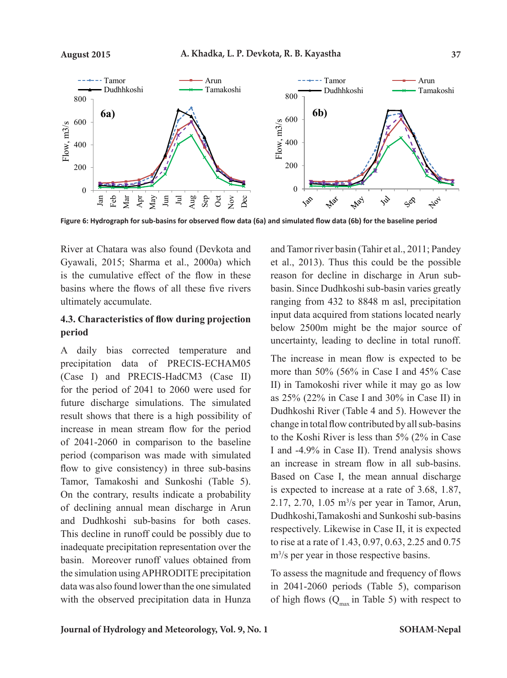

**Figure 6: Hydrograph for sub-basins for observed flow data (6a) and simulated flow data (6b) for the baseline period**

River at Chatara was also found (Devkota and Gyawali, 2015; Sharma et al., 2000a) which is the cumulative effect of the flow in these basins where the flows of all these five rivers ultimately accumulate.

# **4.3. Characteristics of flow during projection period**

A daily bias corrected temperature and precipitation data of PRECIS-ECHAM05 (Case I) and PRECIS-HadCM3 (Case II) for the period of 2041 to 2060 were used for future discharge simulations. The simulated result shows that there is a high possibility of increase in mean stream flow for the period of 2041-2060 in comparison to the baseline period (comparison was made with simulated flow to give consistency) in three sub-basins Tamor, Tamakoshi and Sunkoshi (Table 5). On the contrary, results indicate a probability of declining annual mean discharge in Arun and Dudhkoshi sub-basins for both cases. This decline in runoff could be possibly due to inadequate precipitation representation over the basin. Moreover runoff values obtained from the simulation using APHRODITE precipitation data was also found lower than the one simulated with the observed precipitation data in Hunza and Tamor river basin (Tahir et al., 2011; Pandey et al., 2013). Thus this could be the possible reason for decline in discharge in Arun subbasin. Since Dudhkoshi sub-basin varies greatly ranging from 432 to 8848 m asl, precipitation input data acquired from stations located nearly below 2500m might be the major source of uncertainty, leading to decline in total runoff.

The increase in mean flow is expected to be more than 50% (56% in Case I and 45% Case II) in Tamokoshi river while it may go as low as 25% (22% in Case I and 30% in Case II) in Dudhkoshi River (Table 4 and 5). However the change in total flow contributed by all sub-basins to the Koshi River is less than 5% (2% in Case I and -4.9% in Case II). Trend analysis shows an increase in stream flow in all sub-basins. Based on Case I, the mean annual discharge is expected to increase at a rate of 3.68, 1.87, 2.17, 2.70, 1.05 m<sup>3</sup> /s per year in Tamor, Arun, Dudhkoshi,Tamakoshi and Sunkoshi sub-basins respectively. Likewise in Case II, it is expected to rise at a rate of 1.43, 0.97, 0.63, 2.25 and 0.75 m<sup>3</sup>/s per year in those respective basins.

To assess the magnitude and frequency of flows in 2041-2060 periods (Table 5), comparison of high flows  $(Q<sub>max</sub>$  in Table 5) with respect to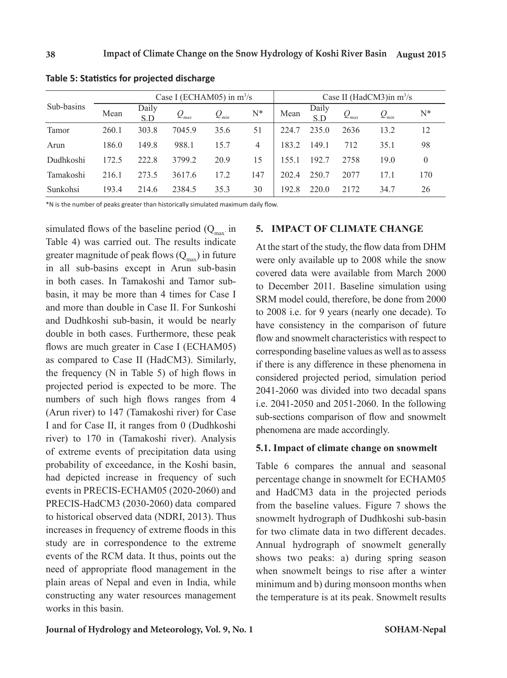|            |       |              | Case I (ECHAM05) in $m^3/s$            |           | Case II (HadCM3)in $m^3/s$ |       |              |           |           |                |
|------------|-------|--------------|----------------------------------------|-----------|----------------------------|-------|--------------|-----------|-----------|----------------|
| Sub-basins | Mean  | Daily<br>S.D | $\mathcal{Q}_{\scriptscriptstyle max}$ | $Q_{min}$ | N*                         | Mean  | Daily<br>S.D | $Q_{max}$ | $Q_{min}$ | $\mathrm{N}^*$ |
| Tamor      | 260.1 | 303.8        | 7045.9                                 | 35.6      | 51                         | 224.7 | 235.0        | 2636      | 13.2      | 12             |
| Arun       | 186.0 | 149.8        | 988.1                                  | 15.7      | 4                          | 183.2 | 149.1        | 712       | 35.1      | 98             |
| Dudhkoshi  | 172.5 | 222.8        | 3799.2                                 | 20.9      | 15                         | 155.1 | 192.7        | 2758      | 19.0      | $\mathbf{0}$   |
| Tamakoshi  | 216.1 | 273.5        | 3617.6                                 | 172       | 147                        | 202.4 | 250.7        | 2077      | 17.1      | 170            |
| Sunkohsi   | 193.4 | 214.6        | 2384.5                                 | 35.3      | 30                         | 192.8 | 220.0        | 2172      | 34.7      | 26             |

**Table 5: Statistics for projected discharge**

\*N is the number of peaks greater than historically simulated maximum daily flow.

simulated flows of the baseline period  $(Q<sub>max</sub>)$  in Table 4) was carried out. The results indicate greater magnitude of peak flows  $(Q_{\text{max}})$  in future in all sub-basins except in Arun sub-basin in both cases. In Tamakoshi and Tamor subbasin, it may be more than 4 times for Case I and more than double in Case II. For Sunkoshi and Dudhkoshi sub-basin, it would be nearly double in both cases. Furthermore, these peak flows are much greater in Case I (ECHAM05) as compared to Case II (HadCM3). Similarly, the frequency (N in Table 5) of high flows in projected period is expected to be more. The numbers of such high flows ranges from 4 (Arun river) to 147 (Tamakoshi river) for Case I and for Case II, it ranges from 0 (Dudhkoshi river) to 170 in (Tamakoshi river). Analysis of extreme events of precipitation data using probability of exceedance, in the Koshi basin, had depicted increase in frequency of such events in PRECIS-ECHAM05 (2020-2060) and PRECIS-HadCM3 (2030-2060) data compared to historical observed data (NDRI, 2013). Thus increases in frequency of extreme floods in this study are in correspondence to the extreme events of the RCM data. It thus, points out the need of appropriate flood management in the plain areas of Nepal and even in India, while constructing any water resources management works in this basin.

### **5. IMPACT OF CLIMATE CHANGE**

At the start of the study, the flow data from DHM were only available up to 2008 while the snow covered data were available from March 2000 to December 2011. Baseline simulation using SRM model could, therefore, be done from 2000 to 2008 i.e. for 9 years (nearly one decade). To have consistency in the comparison of future flow and snowmelt characteristics with respect to corresponding baseline values as well as to assess if there is any difference in these phenomena in considered projected period, simulation period 2041-2060 was divided into two decadal spans i.e. 2041-2050 and 2051-2060. In the following sub-sections comparison of flow and snowmelt phenomena are made accordingly.

### **5.1. Impact of climate change on snowmelt**

Table 6 compares the annual and seasonal percentage change in snowmelt for ECHAM05 and HadCM3 data in the projected periods from the baseline values. Figure 7 shows the snowmelt hydrograph of Dudhkoshi sub-basin for two climate data in two different decades. Annual hydrograph of snowmelt generally shows two peaks: a) during spring season when snowmelt beings to rise after a winter minimum and b) during monsoon months when the temperature is at its peak. Snowmelt results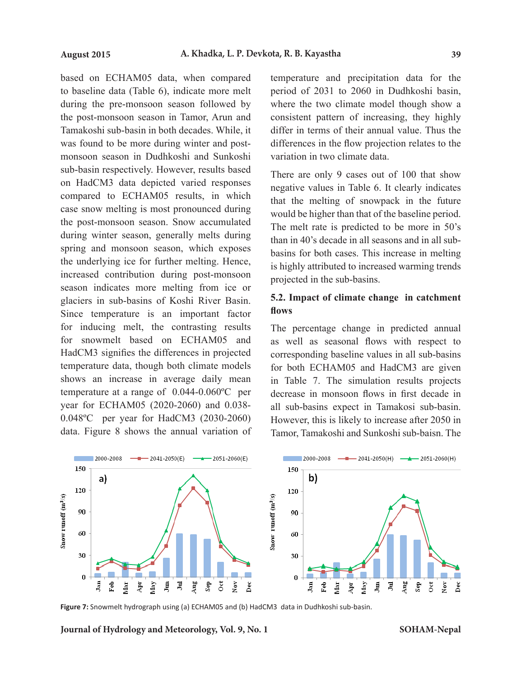based on ECHAM05 data, when compared to baseline data (Table 6), indicate more melt during the pre-monsoon season followed by the post-monsoon season in Tamor, Arun and Tamakoshi sub-basin in both decades. While, it was found to be more during winter and postmonsoon season in Dudhkoshi and Sunkoshi sub-basin respectively. However, results based on HadCM3 data depicted varied responses compared to ECHAM05 results, in which case snow melting is most pronounced during the post-monsoon season. Snow accumulated during winter season, generally melts during spring and monsoon season, which exposes the underlying ice for further melting. Hence, increased contribution during post-monsoon season indicates more melting from ice or glaciers in sub-basins of Koshi River Basin. Since temperature is an important factor for inducing melt, the contrasting results for snowmelt based on ECHAM05 and HadCM3 signifies the differences in projected temperature data, though both climate models shows an increase in average daily mean temperature at a range of 0.044-0.060ºC per year for ECHAM05 (2020-2060) and 0.038- 0.048ºC per year for HadCM3 (2030-2060) data. Figure 8 shows the annual variation of temperature and precipitation data for the period of 2031 to 2060 in Dudhkoshi basin, where the two climate model though show a consistent pattern of increasing, they highly differ in terms of their annual value. Thus the differences in the flow projection relates to the variation in two climate data.

There are only 9 cases out of 100 that show negative values in Table 6. It clearly indicates that the melting of snowpack in the future would be higher than that of the baseline period. The melt rate is predicted to be more in 50's than in 40's decade in all seasons and in all subbasins for both cases. This increase in melting is highly attributed to increased warming trends projected in the sub-basins.

# **5.2. Impact of climate change in catchment flows**

The percentage change in predicted annual as well as seasonal flows with respect to corresponding baseline values in all sub-basins for both ECHAM05 and HadCM3 are given in Table 7. The simulation results projects decrease in monsoon flows in first decade in all sub-basins expect in Tamakosi sub-basin. However, this is likely to increase after 2050 in Tamor, Tamakoshi and Sunkoshi sub-baisn. The



**Figure 7:** Snowmelt hydrograph using (a) ECHAM05 and (b) HadCM3 data in Dudhkoshi sub-basin.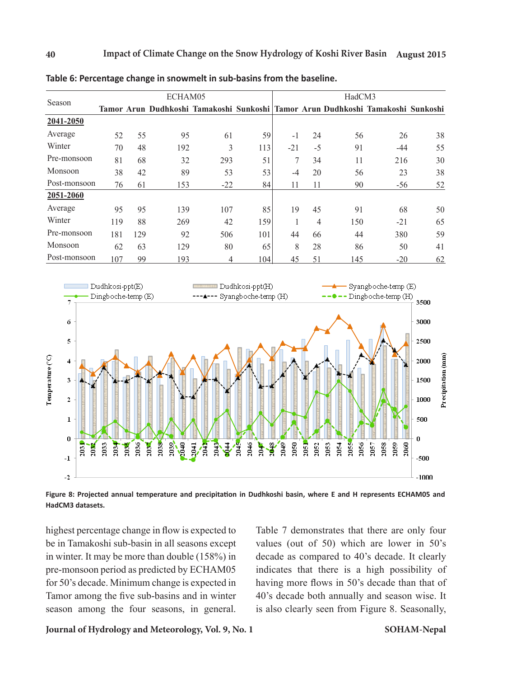|              |     |     | ECHAM05                                                                         |       |     | HadCM3 |                |     |       |    |  |
|--------------|-----|-----|---------------------------------------------------------------------------------|-------|-----|--------|----------------|-----|-------|----|--|
| Season       |     |     | Tamor Arun Dudhkoshi Tamakoshi Sunkoshi Tamor Arun Dudhkoshi Tamakoshi Sunkoshi |       |     |        |                |     |       |    |  |
| 2041-2050    |     |     |                                                                                 |       |     |        |                |     |       |    |  |
| Average      | 52  | 55  | 95                                                                              | 61    | 59  | $-1$   | 24             | 56  | 26    | 38 |  |
| Winter       | 70  | 48  | 192                                                                             | 3     | 113 | $-21$  | $-5$           | 91  | -44   | 55 |  |
| Pre-monsoon  | 81  | 68  | 32                                                                              | 293   | 51  | 7      | 34             | 11  | 216   | 30 |  |
| Monsoon      | 38  | 42  | 89                                                                              | 53    | 53  | $-4$   | 20             | 56  | 23    | 38 |  |
| Post-monsoon | 76  | 61  | 153                                                                             | $-22$ | 84  | 11     | 11             | 90  | $-56$ | 52 |  |
| 2051-2060    |     |     |                                                                                 |       |     |        |                |     |       |    |  |
| Average      | 95  | 95  | 139                                                                             | 107   | 85  | 19     | 45             | 91  | 68    | 50 |  |
| Winter       | 119 | 88  | 269                                                                             | 42    | 159 |        | $\overline{4}$ | 150 | $-21$ | 65 |  |
| Pre-monsoon  | 181 | 129 | 92                                                                              | 506   | 101 | 44     | 66             | 44  | 380   | 59 |  |
| Monsoon      | 62  | 63  | 129                                                                             | 80    | 65  | 8      | 28             | 86  | 50    | 41 |  |
| Post-monsoon | 107 | 99  | 193                                                                             | 4     | 104 | 45     | 51             | 145 | $-20$ | 62 |  |

**Table 6: Percentage change in snowmelt in sub-basins from the baseline.**



**Figure 8: Projected annual temperature and precipitation in Dudhkoshi basin, where E and H represents ECHAM05 and HadCM3 datasets.**

highest percentage change in flow is expected to be in Tamakoshi sub-basin in all seasons except in winter. It may be more than double (158%) in pre-monsoon period as predicted by ECHAM05 for 50's decade. Minimum change is expected in Tamor among the five sub-basins and in winter season among the four seasons, in general.

Table 7 demonstrates that there are only four values (out of 50) which are lower in 50's decade as compared to 40's decade. It clearly indicates that there is a high possibility of having more flows in 50's decade than that of 40's decade both annually and season wise. It is also clearly seen from Figure 8. Seasonally,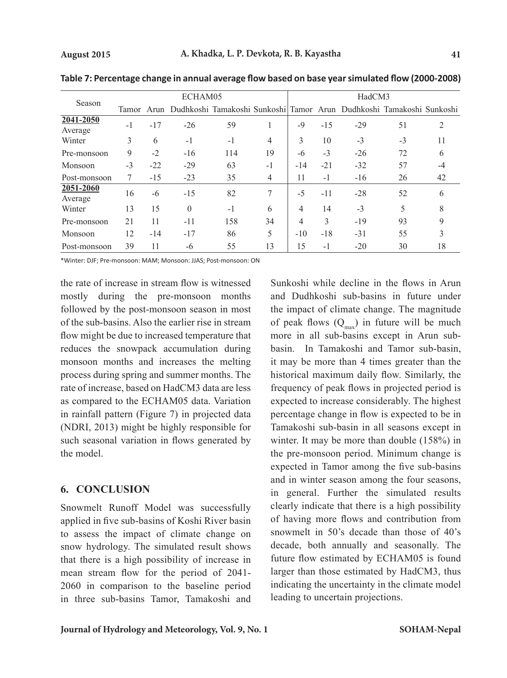| Season               |      |       | ECHAM05  |      |                | HadCM3         |       |                                                                                 |      |    |  |
|----------------------|------|-------|----------|------|----------------|----------------|-------|---------------------------------------------------------------------------------|------|----|--|
|                      |      |       |          |      |                |                |       | Tamor Arun Dudhkoshi Tamakoshi Sunkoshi Tamor Arun Dudhkoshi Tamakoshi Sunkoshi |      |    |  |
| 2041-2050<br>Average | $-1$ | $-17$ | $-26$    | 59   |                | $-9$           | $-15$ | $-29$                                                                           | 51   | 2  |  |
| Winter               | 3    | 6     | $-1$     | $-1$ | $\overline{4}$ | 3              | 10    | $-3$                                                                            | $-3$ | 11 |  |
| Pre-monsoon          | 9    | $-2$  | $-16$    | 114  | 19             | -6             | $-3$  | $-26$                                                                           | 72   | 6  |  |
| Monsoon              | $-3$ | $-22$ | $-29$    | 63   | $-1$           | $-14$          | $-21$ | $-32$                                                                           | 57   | -4 |  |
| Post-monsoon         | 7    | $-15$ | $-23$    | 35   | 4              | 11             | $-1$  | $-16$                                                                           | 26   | 42 |  |
| 2051-2060<br>Average | 16   | -6    | $-15$    | 82   | 7              | $-5$           | $-11$ | $-28$                                                                           | 52   | 6  |  |
| Winter               | 13   | 15    | $\theta$ | $-1$ | 6              | $\overline{4}$ | 14    | $-3$                                                                            | 5    | 8  |  |
| Pre-monsoon          | 21   | 11    | $-11$    | 158  | 34             | 4              | 3     | $-19$                                                                           | 93   | 9  |  |
| Monsoon              | 12   | $-14$ | $-17$    | 86   | 5              | $-10$          | $-18$ | $-31$                                                                           | 55   | 3  |  |
| Post-monsoon         | 39   | 11    | -6       | 55   | 13             | 15             | $-1$  | $-20$                                                                           | 30   | 18 |  |

**Table 7: Percentage change in annual average flow based on base year simulated flow (2000-2008)**

\*Winter: DJF; Pre-monsoon: MAM; Monsoon: JJAS; Post-monsoon: ON

the rate of increase in stream flow is witnessed mostly during the pre-monsoon months followed by the post-monsoon season in most of the sub-basins. Also the earlier rise in stream flow might be due to increased temperature that reduces the snowpack accumulation during monsoon months and increases the melting process during spring and summer months. The rate of increase, based on HadCM3 data are less as compared to the ECHAM05 data. Variation in rainfall pattern (Figure 7) in projected data (NDRI, 2013) might be highly responsible for such seasonal variation in flows generated by the model.

# **6. CONCLUSION**

Snowmelt Runoff Model was successfully applied in five sub-basins of Koshi River basin to assess the impact of climate change on snow hydrology. The simulated result shows that there is a high possibility of increase in mean stream flow for the period of 2041- 2060 in comparison to the baseline period in three sub-basins Tamor, Tamakoshi and Sunkoshi while decline in the flows in Arun and Dudhkoshi sub-basins in future under the impact of climate change. The magnitude of peak flows  $(Q<sub>max</sub>)$  in future will be much more in all sub-basins except in Arun subbasin. In Tamakoshi and Tamor sub-basin, it may be more than 4 times greater than the historical maximum daily flow. Similarly, the frequency of peak flows in projected period is expected to increase considerably. The highest percentage change in flow is expected to be in Tamakoshi sub-basin in all seasons except in winter. It may be more than double (158%) in the pre-monsoon period. Minimum change is expected in Tamor among the five sub-basins and in winter season among the four seasons, in general. Further the simulated results clearly indicate that there is a high possibility of having more flows and contribution from snowmelt in 50's decade than those of 40's decade, both annually and seasonally. The future flow estimated by ECHAM05 is found larger than those estimated by HadCM3, thus indicating the uncertainty in the climate model leading to uncertain projections.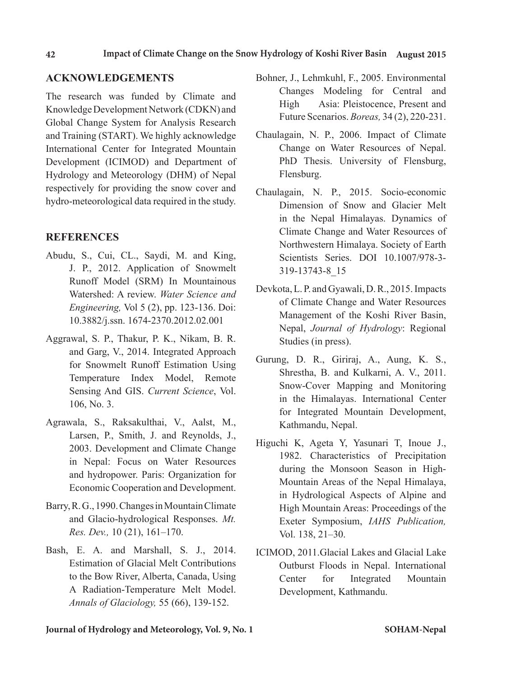# **ACKNOWLEDGEMENTS**

The research was funded by Climate and Knowledge Development Network (CDKN) and Global Change System for Analysis Research and Training (START). We highly acknowledge International Center for Integrated Mountain Development (ICIMOD) and Department of Hydrology and Meteorology (DHM) of Nepal respectively for providing the snow cover and hydro-meteorological data required in the study.

# **REFERENCES**

- Abudu, S., Cui, CL., Saydi, M. and King, J. P., 2012. Application of Snowmelt Runoff Model (SRM) In Mountainous Watershed: A review. *Water Science and Engineering,* Vol 5 (2), pp. 123-136. Doi: 10.3882/j.ssn. 1674-2370.2012.02.001
- Aggrawal, S. P., Thakur, P. K., Nikam, B. R. and Garg, V., 2014. Integrated Approach for Snowmelt Runoff Estimation Using Temperature Index Model, Remote Sensing And GIS. *Current Science*, Vol. 106, No. 3.
- Agrawala, S., Raksakulthai, V., Aalst, M., Larsen, P., Smith, J. and Reynolds, J., 2003. Development and Climate Change in Nepal: Focus on Water Resources and hydropower. Paris: Organization for Economic Cooperation and Development.
- Barry, R. G., 1990. Changes in Mountain Climate and Glacio-hydrological Responses. *Mt. Res. Dev.,* 10 (21), 161–170.
- Bash, E. A. and Marshall, S. J., 2014. Estimation of Glacial Melt Contributions to the Bow River, Alberta, Canada, Using A Radiation-Temperature Melt Model. *Annals of Glaciology,* 55 (66), 139-152.
- Bohner, J., Lehmkuhl, F., 2005. Environmental Changes Modeling for Central and High Asia: Pleistocence, Present and Future Scenarios. *Boreas,* 34 (2), 220-231.
- Chaulagain, N. P., 2006. Impact of Climate Change on Water Resources of Nepal. PhD Thesis. University of Flensburg, Flensburg.
- Chaulagain, N. P., 2015. Socio-economic Dimension of Snow and Glacier Melt in the Nepal Himalayas. Dynamics of Climate Change and Water Resources of Northwestern Himalaya. Society of Earth Scientists Series. DOI 10.1007/978-3- 319-13743-8\_15
- Devkota, L. P. and Gyawali, D. R., 2015. Impacts of Climate Change and Water Resources Management of the Koshi River Basin, Nepal, *Journal of Hydrology*: Regional Studies (in press).
- Gurung, D. R., Giriraj, A., Aung, K. S., Shrestha, B. and Kulkarni, A. V., 2011. Snow-Cover Mapping and Monitoring in the Himalayas. International Center for Integrated Mountain Development, Kathmandu, Nepal.
- Higuchi K, Ageta Y, Yasunari T, Inoue J., 1982. Characteristics of Precipitation during the Monsoon Season in High-Mountain Areas of the Nepal Himalaya, in Hydrological Aspects of Alpine and High Mountain Areas: Proceedings of the Exeter Symposium, *IAHS Publication,*  Vol. 138, 21–30.
- ICIMOD, 2011.Glacial Lakes and Glacial Lake Outburst Floods in Nepal. International Center for Integrated Mountain Development, Kathmandu.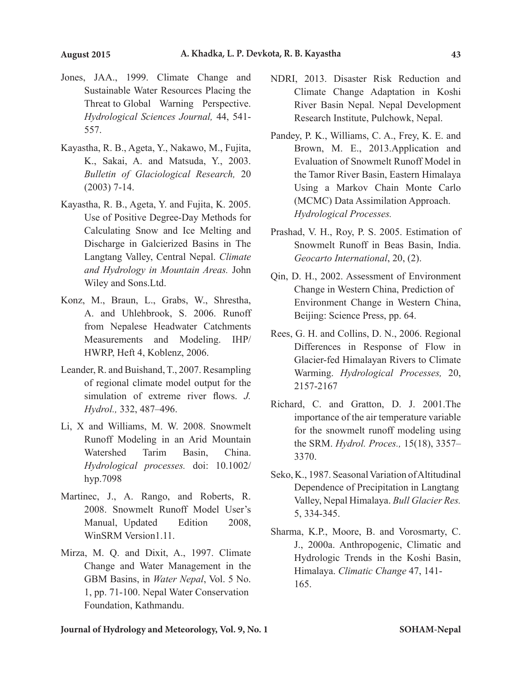- Jones, JAA., 1999. Climate Change and Sustainable Water Resources Placing the Threat to Global Warning Perspective. *Hydrological Sciences Journal,* 44, 541- 557.
- Kayastha, R. B., Ageta, Y., Nakawo, M., Fujita, K., Sakai, A. and Matsuda, Y., 2003. *Bulletin of Glaciological Research,* 20 (2003) 7-14.
- Kayastha, R. B., Ageta, Y. and Fujita, K. 2005. Use of Positive Degree-Day Methods for Calculating Snow and Ice Melting and Discharge in Galcierized Basins in The Langtang Valley, Central Nepal. *Climate and Hydrology in Mountain Areas.* John Wiley and Sons.Ltd.
- Konz, M., Braun, L., Grabs, W., Shrestha, A. and Uhlehbrook, S. 2006. Runoff from Nepalese Headwater Catchments Measurements and Modeling. IHP/ HWRP, Heft 4, Koblenz, 2006.
- Leander, R. and Buishand, T., 2007. Resampling of regional climate model output for the simulation of extreme river flows. *J. Hydrol.,* 332, 487–496.
- Li, X and Williams, M. W. 2008. Snowmelt Runoff Modeling in an Arid Mountain Watershed Tarim Basin, China. *Hydrological processes.* doi: 10.1002/ hyp.7098
- Martinec, J., A. Rango, and Roberts, R. 2008. Snowmelt Runoff Model User's Manual, Updated Edition 2008, WinSRM Version1.11.
- Mirza, M. Q. and Dixit, A., 1997. Climate Change and Water Management in the GBM Basins, in *Water Nepal*, Vol. 5 No. 1, pp. 71-100. Nepal Water Conservation Foundation, Kathmandu.
- NDRI, 2013. Disaster Risk Reduction and Climate Change Adaptation in Koshi River Basin Nepal. Nepal Development Research Institute, Pulchowk, Nepal.
- Pandey, P. K., Williams, C. A., Frey, K. E. and Brown, M. E., 2013.Application and Evaluation of Snowmelt Runoff Model in the Tamor River Basin, Eastern Himalaya Using a Markov Chain Monte Carlo (MCMC) Data Assimilation Approach. *Hydrological Processes.*
- Prashad, V. H., Roy, P. S. 2005. Estimation of Snowmelt Runoff in Beas Basin, India. *Geocarto International*, 20, (2).
- Qin, D. H., 2002. Assessment of Environment Change in Western China, Prediction of Environment Change in Western China, Beijing: Science Press, pp. 64.
- Rees, G. H. and Collins, D. N., 2006. Regional Differences in Response of Flow in Glacier-fed Himalayan Rivers to Climate Warming. *Hydrological Processes,* 20, 2157-2167
- Richard, C. and Gratton, D. J. 2001.The importance of the air temperature variable for the snowmelt runoff modeling using the SRM. *Hydrol. Proces.,* 15(18), 3357– 3370.
- Seko, K., 1987. Seasonal Variation of Altitudinal Dependence of Precipitation in Langtang Valley, Nepal Himalaya. *Bull Glacier Res.*  5, 334-345.
- Sharma, K.P., Moore, B. and Vorosmarty, C. J., 2000a. Anthropogenic, Climatic and Hydrologic Trends in the Koshi Basin, Himalaya. *Climatic Change* 47, 141- 165.